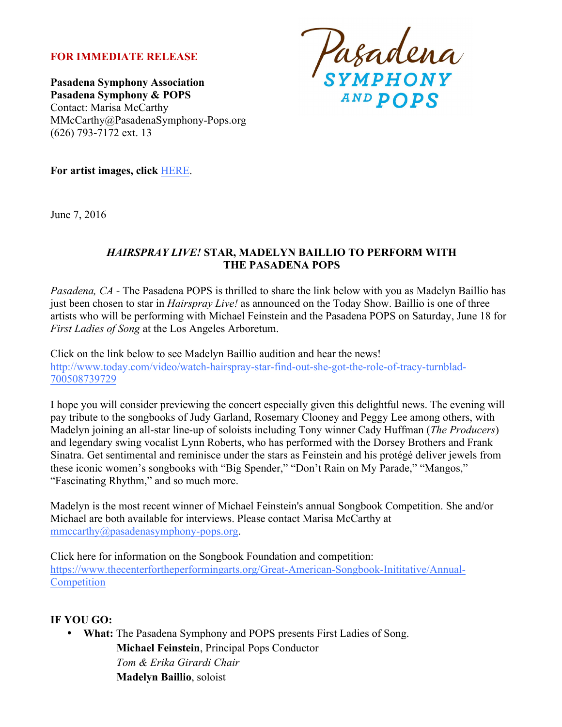## **FOR IMMEDIATE RELEASE**

**Pasadena Symphony Association Pasadena Symphony & POPS** Contact: Marisa McCarthy MMcCarthy@PasadenaSymphony-Pops.org (626) 793-7172 ext. 13

Pasadena

**For artist images, click** HERE.

June 7, 2016

### *HAIRSPRAY LIVE!* **STAR, MADELYN BAILLIO TO PERFORM WITH THE PASADENA POPS**

*Pasadena, CA -* The Pasadena POPS is thrilled to share the link below with you as Madelyn Baillio has just been chosen to star in *Hairspray Live!* as announced on the Today Show. Baillio is one of three artists who will be performing with Michael Feinstein and the Pasadena POPS on Saturday, June 18 for *First Ladies of Song* at the Los Angeles Arboretum.

Click on the link below to see Madelyn Baillio audition and hear the news! http://www.today.com/video/watch-hairspray-star-find-out-she-got-the-role-of-tracy-turnblad-700508739729

I hope you will consider previewing the concert especially given this delightful news. The evening will pay tribute to the songbooks of Judy Garland, Rosemary Clooney and Peggy Lee among others, with Madelyn joining an all-star line-up of soloists including Tony winner Cady Huffman (*The Producers*) and legendary swing vocalist Lynn Roberts, who has performed with the Dorsey Brothers and Frank Sinatra. Get sentimental and reminisce under the stars as Feinstein and his protégé deliver jewels from these iconic women's songbooks with "Big Spender," "Don't Rain on My Parade," "Mangos," "Fascinating Rhythm," and so much more.

Madelyn is the most recent winner of Michael Feinstein's annual Songbook Competition. She and/or Michael are both available for interviews. Please contact Marisa McCarthy at mmccarthy@pasadenasymphony-pops.org.

Click here for information on the Songbook Foundation and competition: https://www.thecenterfortheperformingarts.org/Great-American-Songbook-Inititative/Annual-**Competition** 

## **IF YOU GO:**

• **What:** The Pasadena Symphony and POPS presents First Ladies of Song. **Michael Feinstein**, Principal Pops Conductor *Tom & Erika Girardi Chair* **Madelyn Baillio**, soloist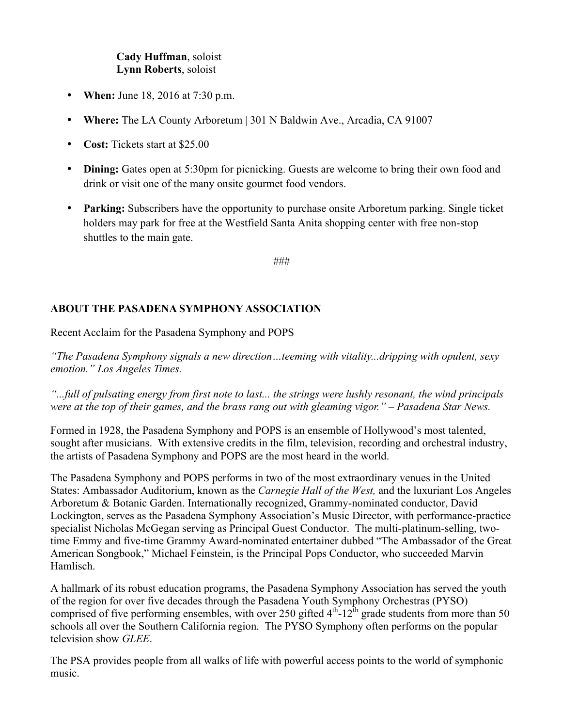# **Cady Huffman**, soloist **Lynn Roberts**, soloist

- **When:** June 18, 2016 at 7:30 p.m.
- **Where:** The LA County Arboretum | 301 N Baldwin Ave., Arcadia, CA 91007
- **Cost:** Tickets start at \$25.00
- **Dining:** Gates open at 5:30pm for picnicking. Guests are welcome to bring their own food and drink or visit one of the many onsite gourmet food vendors.
- **Parking:** Subscribers have the opportunity to purchase onsite Arboretum parking. Single ticket holders may park for free at the Westfield Santa Anita shopping center with free non-stop shuttles to the main gate.

###

## **ABOUT THE PASADENA SYMPHONY ASSOCIATION**

Recent Acclaim for the Pasadena Symphony and POPS

*"The Pasadena Symphony signals a new direction…teeming with vitality...dripping with opulent, sexy emotion." Los Angeles Times.* 

*"...full of pulsating energy from first note to last... the strings were lushly resonant, the wind principals were at the top of their games, and the brass rang out with gleaming vigor." – Pasadena Star News.*

Formed in 1928, the Pasadena Symphony and POPS is an ensemble of Hollywood's most talented, sought after musicians. With extensive credits in the film, television, recording and orchestral industry, the artists of Pasadena Symphony and POPS are the most heard in the world.

The Pasadena Symphony and POPS performs in two of the most extraordinary venues in the United States: Ambassador Auditorium, known as the *Carnegie Hall of the West,* and the luxuriant Los Angeles Arboretum & Botanic Garden. Internationally recognized, Grammy-nominated conductor, David Lockington, serves as the Pasadena Symphony Association's Music Director, with performance-practice specialist Nicholas McGegan serving as Principal Guest Conductor. The multi-platinum-selling, twotime Emmy and five-time Grammy Award-nominated entertainer dubbed "The Ambassador of the Great American Songbook," Michael Feinstein, is the Principal Pops Conductor, who succeeded Marvin Hamlisch.

A hallmark of its robust education programs, the Pasadena Symphony Association has served the youth of the region for over five decades through the Pasadena Youth Symphony Orchestras (PYSO) comprised of five performing ensembles, with over 250 gifted  $4<sup>th</sup>$ -12<sup>th</sup> grade students from more than 50 schools all over the Southern California region. The PYSO Symphony often performs on the popular television show *GLEE*.

The PSA provides people from all walks of life with powerful access points to the world of symphonic music.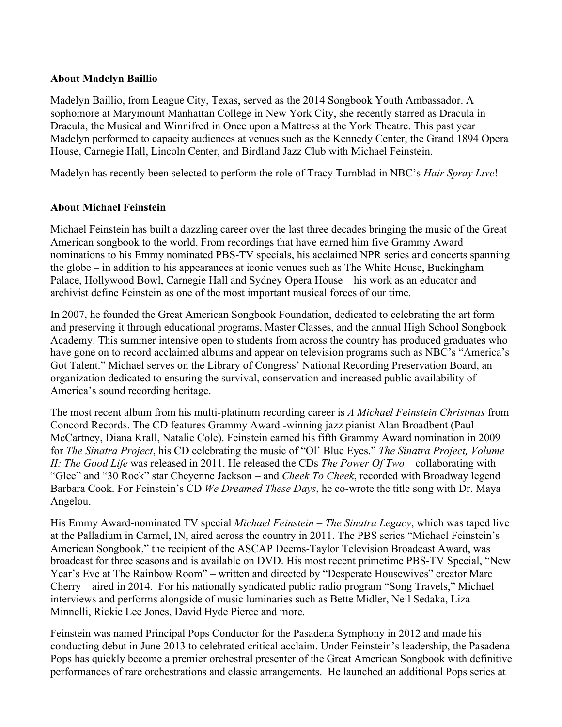### **About Madelyn Baillio**

Madelyn Baillio, from League City, Texas, served as the 2014 Songbook Youth Ambassador. A sophomore at Marymount Manhattan College in New York City, she recently starred as Dracula in Dracula, the Musical and Winnifred in Once upon a Mattress at the York Theatre. This past year Madelyn performed to capacity audiences at venues such as the Kennedy Center, the Grand 1894 Opera House, Carnegie Hall, Lincoln Center, and Birdland Jazz Club with Michael Feinstein.

Madelyn has recently been selected to perform the role of Tracy Turnblad in NBC's *Hair Spray Live*!

#### **About Michael Feinstein**

Michael Feinstein has built a dazzling career over the last three decades bringing the music of the Great American songbook to the world. From recordings that have earned him five Grammy Award nominations to his Emmy nominated PBS-TV specials, his acclaimed NPR series and concerts spanning the globe – in addition to his appearances at iconic venues such as The White House, Buckingham Palace, Hollywood Bowl, Carnegie Hall and Sydney Opera House – his work as an educator and archivist define Feinstein as one of the most important musical forces of our time.

In 2007, he founded the Great American Songbook Foundation, dedicated to celebrating the art form and preserving it through educational programs, Master Classes, and the annual High School Songbook Academy. This summer intensive open to students from across the country has produced graduates who have gone on to record acclaimed albums and appear on television programs such as NBC's "America's Got Talent." Michael serves on the Library of Congress' National Recording Preservation Board, an organization dedicated to ensuring the survival, conservation and increased public availability of America's sound recording heritage.

The most recent album from his multi-platinum recording career is *A Michael Feinstein Christmas* from Concord Records. The CD features Grammy Award -winning jazz pianist Alan Broadbent (Paul McCartney, Diana Krall, Natalie Cole). Feinstein earned his fifth Grammy Award nomination in 2009 for *The Sinatra Project*, his CD celebrating the music of "Ol' Blue Eyes." *The Sinatra Project, Volume II: The Good Life* was released in 2011. He released the CDs *The Power Of Two* – collaborating with "Glee" and "30 Rock" star Cheyenne Jackson – and *Cheek To Cheek*, recorded with Broadway legend Barbara Cook. For Feinstein's CD *We Dreamed These Days*, he co-wrote the title song with Dr. Maya Angelou.

His Emmy Award-nominated TV special *Michael Feinstein – The Sinatra Legacy*, which was taped live at the Palladium in Carmel, IN, aired across the country in 2011. The PBS series "Michael Feinstein's American Songbook," the recipient of the ASCAP Deems-Taylor Television Broadcast Award, was broadcast for three seasons and is available on DVD. His most recent primetime PBS-TV Special, "New Year's Eve at The Rainbow Room" *–* written and directed by "Desperate Housewives" creator Marc Cherry *–* aired in 2014. For his nationally syndicated public radio program "Song Travels," Michael interviews and performs alongside of music luminaries such as Bette Midler, Neil Sedaka, Liza Minnelli, Rickie Lee Jones, David Hyde Pierce and more.

Feinstein was named Principal Pops Conductor for the Pasadena Symphony in 2012 and made his conducting debut in June 2013 to celebrated critical acclaim. Under Feinstein's leadership, the Pasadena Pops has quickly become a premier orchestral presenter of the Great American Songbook with definitive performances of rare orchestrations and classic arrangements. He launched an additional Pops series at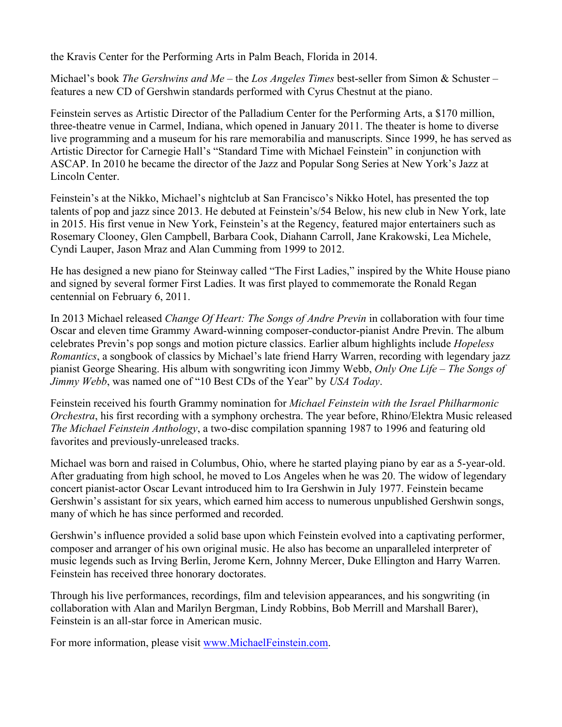the Kravis Center for the Performing Arts in Palm Beach, Florida in 2014.

Michael's book *The Gershwins and Me* – the *Los Angeles Times* best-seller from Simon & Schuster – features a new CD of Gershwin standards performed with Cyrus Chestnut at the piano.

Feinstein serves as Artistic Director of the Palladium Center for the Performing Arts, a \$170 million, three-theatre venue in Carmel, Indiana, which opened in January 2011. The theater is home to diverse live programming and a museum for his rare memorabilia and manuscripts. Since 1999, he has served as Artistic Director for Carnegie Hall's "Standard Time with Michael Feinstein" in conjunction with ASCAP. In 2010 he became the director of the Jazz and Popular Song Series at New York's Jazz at Lincoln Center.

Feinstein's at the Nikko, Michael's nightclub at San Francisco's Nikko Hotel, has presented the top talents of pop and jazz since 2013. He debuted at Feinstein's/54 Below, his new club in New York, late in 2015. His first venue in New York, Feinstein's at the Regency, featured major entertainers such as Rosemary Clooney, Glen Campbell, Barbara Cook, Diahann Carroll, Jane Krakowski, Lea Michele, Cyndi Lauper, Jason Mraz and Alan Cumming from 1999 to 2012.

He has designed a new piano for Steinway called "The First Ladies," inspired by the White House piano and signed by several former First Ladies. It was first played to commemorate the Ronald Regan centennial on February 6, 2011.

In 2013 Michael released *Change Of Heart: The Songs of Andre Previn* in collaboration with four time Oscar and eleven time Grammy Award-winning composer-conductor-pianist Andre Previn. The album celebrates Previn's pop songs and motion picture classics. Earlier album highlights include *Hopeless Romantics*, a songbook of classics by Michael's late friend Harry Warren, recording with legendary jazz pianist George Shearing. His album with songwriting icon Jimmy Webb, *Only One Life – The Songs of Jimmy Webb*, was named one of "10 Best CDs of the Year" by *USA Today*.

Feinstein received his fourth Grammy nomination for *Michael Feinstein with the Israel Philharmonic Orchestra*, his first recording with a symphony orchestra. The year before, Rhino/Elektra Music released *The Michael Feinstein Anthology*, a two-disc compilation spanning 1987 to 1996 and featuring old favorites and previously-unreleased tracks.

Michael was born and raised in Columbus, Ohio, where he started playing piano by ear as a 5-year-old. After graduating from high school, he moved to Los Angeles when he was 20. The widow of legendary concert pianist-actor Oscar Levant introduced him to Ira Gershwin in July 1977. Feinstein became Gershwin's assistant for six years, which earned him access to numerous unpublished Gershwin songs, many of which he has since performed and recorded.

Gershwin's influence provided a solid base upon which Feinstein evolved into a captivating performer, composer and arranger of his own original music. He also has become an unparalleled interpreter of music legends such as Irving Berlin, Jerome Kern, Johnny Mercer, Duke Ellington and Harry Warren. Feinstein has received three honorary doctorates.

Through his live performances, recordings, film and television appearances, and his songwriting (in collaboration with Alan and Marilyn Bergman, Lindy Robbins, Bob Merrill and Marshall Barer), Feinstein is an all-star force in American music.

For more information, please visit www.MichaelFeinstein.com.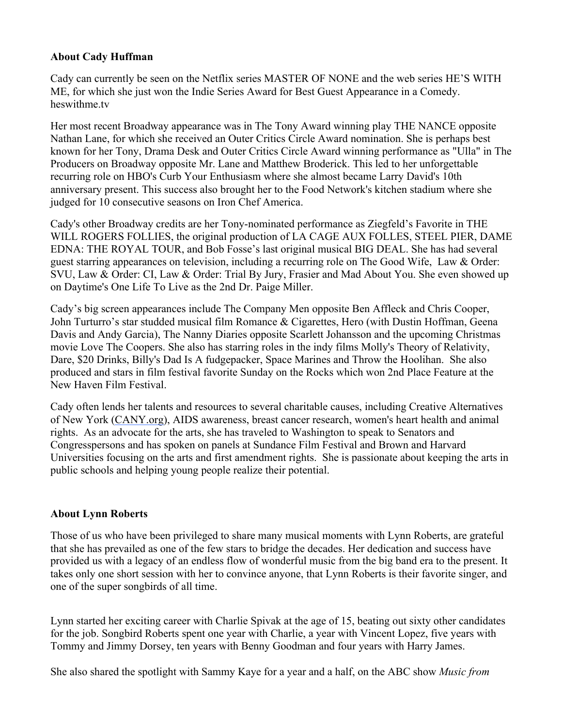### **About Cady Huffman**

Cady can currently be seen on the Netflix series MASTER OF NONE and the web series HE'S WITH ME, for which she just won the Indie Series Award for Best Guest Appearance in a Comedy. heswithme.tv

Her most recent Broadway appearance was in The Tony Award winning play THE NANCE opposite Nathan Lane, for which she received an Outer Critics Circle Award nomination. She is perhaps best known for her Tony, Drama Desk and Outer Critics Circle Award winning performance as "Ulla" in The Producers on Broadway opposite Mr. Lane and Matthew Broderick. This led to her unforgettable recurring role on HBO's Curb Your Enthusiasm where she almost became Larry David's 10th anniversary present. This success also brought her to the Food Network's kitchen stadium where she judged for 10 consecutive seasons on Iron Chef America.

Cady's other Broadway credits are her Tony-nominated performance as Ziegfeld's Favorite in THE WILL ROGERS FOLLIES, the original production of LA CAGE AUX FOLLES, STEEL PIER, DAME EDNA: THE ROYAL TOUR, and Bob Fosse's last original musical BIG DEAL. She has had several guest starring appearances on television, including a recurring role on The Good Wife, Law & Order: SVU, Law & Order: CI, Law & Order: Trial By Jury, Frasier and Mad About You. She even showed up on Daytime's One Life To Live as the 2nd Dr. Paige Miller.

Cady's big screen appearances include The Company Men opposite Ben Affleck and Chris Cooper, John Turturro's star studded musical film Romance & Cigarettes, Hero (with Dustin Hoffman, Geena Davis and Andy Garcia), The Nanny Diaries opposite Scarlett Johansson and the upcoming Christmas movie Love The Coopers. She also has starring roles in the indy films Molly's Theory of Relativity, Dare, \$20 Drinks, Billy's Dad Is A fudgepacker, Space Marines and Throw the Hoolihan. She also produced and stars in film festival favorite Sunday on the Rocks which won 2nd Place Feature at the New Haven Film Festival.

Cady often lends her talents and resources to several charitable causes, including Creative Alternatives of New York (CANY.org), AIDS awareness, breast cancer research, women's heart health and animal rights. As an advocate for the arts, she has traveled to Washington to speak to Senators and Congresspersons and has spoken on panels at Sundance Film Festival and Brown and Harvard Universities focusing on the arts and first amendment rights. She is passionate about keeping the arts in public schools and helping young people realize their potential.

## **About Lynn Roberts**

Those of us who have been privileged to share many musical moments with Lynn Roberts, are grateful that she has prevailed as one of the few stars to bridge the decades. Her dedication and success have provided us with a legacy of an endless flow of wonderful music from the big band era to the present. It takes only one short session with her to convince anyone, that Lynn Roberts is their favorite singer, and one of the super songbirds of all time.

Lynn started her exciting career with Charlie Spivak at the age of 15, beating out sixty other candidates for the job. Songbird Roberts spent one year with Charlie, a year with Vincent Lopez, five years with Tommy and Jimmy Dorsey, ten years with Benny Goodman and four years with Harry James.

She also shared the spotlight with Sammy Kaye for a year and a half, on the ABC show *Music from*